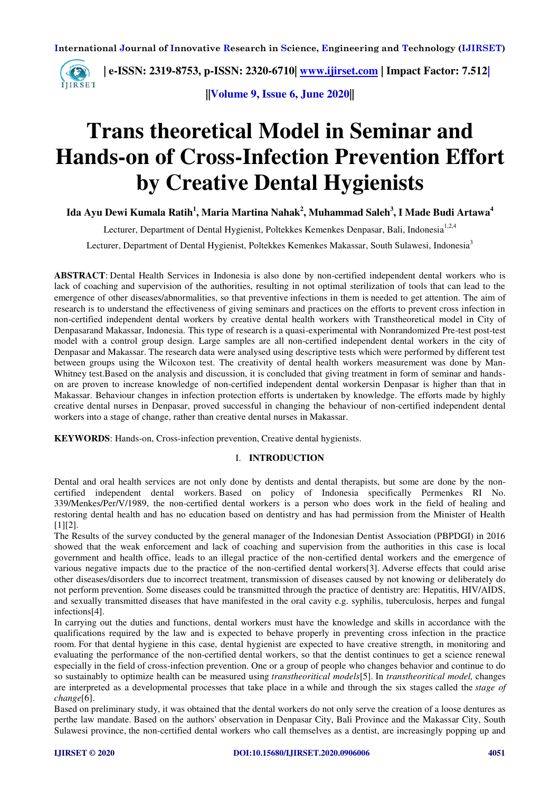

**||Volume 9, Issue 6, June 2020||** 

# **Trans theoretical Model in Seminar and Hands-on of Cross-Infection Prevention Effort by Creative Dental Hygienists**

**Ida Ayu Dewi Kumala Ratih<sup>1</sup> , Maria Martina Nahak<sup>2</sup> , Muhammad Saleh<sup>3</sup> , I Made Budi Artawa<sup>4</sup>**

Lecturer, Department of Dental Hygienist, Poltekkes Kemenkes Denpasar, Bali, Indonesia<sup>1,2,4</sup>

Lecturer, Department of Dental Hygienist, Poltekkes Kemenkes Makassar, South Sulawesi, Indonesia<sup>3</sup>

**ABSTRACT**: Dental Health Services in Indonesia is also done by non-certified independent dental workers who is lack of coaching and supervision of the authorities, resulting in not optimal sterilization of tools that can lead to the emergence of other diseases/abnormalities, so that preventive infections in them is needed to get attention. The aim of research is to understand the effectiveness of giving seminars and practices on the efforts to prevent cross infection in non-certified independent dental workers by creative dental health workers with Transtheoretical model in City of Denpasarand Makassar, Indonesia. This type of research is a quasi-experimental with Nonrandomized Pre-test post-test model with a control group design. Large samples are all non-certified independent dental workers in the city of Denpasar and Makassar. The research data were analysed using descriptive tests which were performed by different test between groups using the Wilcoxon test. The creativity of dental health workers measurement was done by Man-Whitney test.Based on the analysis and discussion, it is concluded that giving treatment in form of seminar and handson are proven to increase knowledge of non-certified independent dental workersin Denpasar is higher than that in Makassar. Behaviour changes in infection protection efforts is undertaken by knowledge. The efforts made by highly creative dental nurses in Denpasar, proved successful in changing the behaviour of non-certified independent dental workers into a stage of change, rather than creative dental nurses in Makassar.

**KEYWORDS**: Hands-on, Cross-infection prevention, Creative dental hygienists.

### I. **INTRODUCTION**

Dental and oral health services are not only done by dentists and dental therapists, but some are done by the noncertified independent dental workers. Based on policy of Indonesia specifically Permenkes RI No. 339/Menkes/Per/V/1989, the non-certified dental workers is a person who does work in the field of healing and restoring dental health and has no education based on dentistry and has had permission from the Minister of Health [1][2].

The Results of the survey conducted by the general manager of the Indonesian Dentist Association (PBPDGI) in 2016 showed that the weak enforcement and lack of coaching and supervision from the authorities in this case is local government and health office, leads to an illegal practice of the non-certified dental workers and the emergence of various negative impacts due to the practice of the non-certified dental workers[3]. Adverse effects that could arise other diseases/disorders due to incorrect treatment, transmission of diseases caused by not knowing or deliberately do not perform prevention. Some diseases could be transmitted through the practice of dentistry are: Hepatitis, HIV/AIDS, and sexually transmitted diseases that have manifested in the oral cavity e.g. syphilis, tuberculosis, herpes and fungal infections[4].

In carrying out the duties and functions, dental workers must have the knowledge and skills in accordance with the qualifications required by the law and is expected to behave properly in preventing cross infection in the practice room. For that dental hygiene in this case, dental hygienist are expected to have creative strength, in monitoring and evaluating the performance of the non-certified dental workers, so that the dentist continues to get a science renewal especially in the field of cross-infection prevention. One or a group of people who changes behavior and continue to do so sustainably to optimize health can be measured using *transtheoritical models*[5]. In *transtheoritical model,* changes are interpreted as a developmental processes that take place in a while and through the six stages called the *stage of change*[6].

Based on preliminary study, it was obtained that the dental workers do not only serve the creation of a loose dentures as perthe law mandate. Based on the authors' observation in Denpasar City, Bali Province and the Makassar City, South Sulawesi province, the non-certified dental workers who call themselves as a dentist, are increasingly popping up and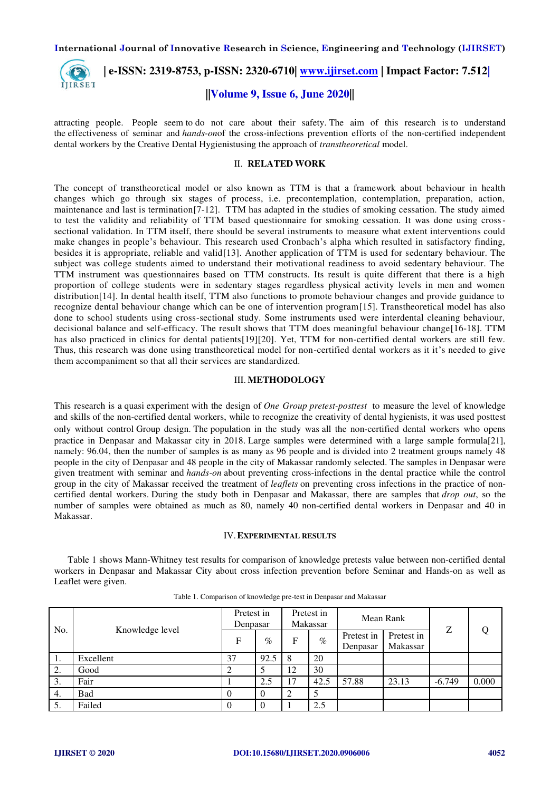

 **| e-ISSN: 2319-8753, p-ISSN: 2320-6710| [www.ijirset.com](http://www.ijirset.com/) | Impact Factor: 7.512|**

### **||Volume 9, Issue 6, June 2020||**

attracting people. People seem to do not care about their safety. The aim of this research is to understand the effectiveness of seminar and *hands-on*of the cross-infections prevention efforts of the non-certified independent dental workers by the Creative Dental Hygienistusing the approach of *transtheoretical* model.

### II. **RELATED WORK**

The concept of transtheoretical model or also known as TTM is that a framework about behaviour in health changes which go through six stages of process, i.e. precontemplation, contemplation, preparation, action, maintenance and last is termination[7-12]. TTM has adapted in the studies of smoking cessation. The study aimed to test the validity and reliability of TTM based questionnaire for smoking cessation. It was done using cross sectional validation. In TTM itself, there should be several instruments to measure what extent interventions could make changes in people's behaviour. This research used Cronbach's alpha which resulted in satisfactory finding, besides it is appropriate, reliable and valid[13]. Another application of TTM is used for sedentary behaviour. The subject was college students aimed to understand their motivational readiness to avoid sedentary behaviour. The TTM instrument was questionnaires based on TTM constructs. Its result is quite different that there is a high proportion of college students were in sedentary stages regardless physical activity levels in men and women distribution[14]. In dental health itself, TTM also functions to promote behaviour changes and provide guidance to recognize dental behaviour change which can be one of intervention program[15]. Transtheoretical model has also done to school students using cross-sectional study. Some instruments used were interdental cleaning behaviour, decisional balance and self-efficacy. The result shows that TTM does meaningful behaviour change[16-18]. TTM has also practiced in clinics for dental patients[19][20]. Yet, TTM for non-certified dental workers are still few. Thus, this research was done using transtheoretical model for non-certified dental workers as it it's needed to give them accompaniment so that all their services are standardized.

### III. **METHODOLOGY**

This research is a quasi experiment with the design of *One Group pretest-posttest* to measure the level of knowledge and skills of the non-certified dental workers, while to recognize the creativity of dental hygienists, it was used posttest only without control Group design. The population in the study was all the non-certified dental workers who opens practice in Denpasar and Makassar city in 2018. Large samples were determined with a large sample formula[21], namely: 96.04, then the number of samples is as many as 96 people and is divided into 2 treatment groups namely 48 people in the city of Denpasar and 48 people in the city of Makassar randomly selected. The samples in Denpasar were given treatment with seminar and *hands-on* about preventing cross-infections in the dental practice while the control group in the city of Makassar received the treatment of *leaflets* on preventing cross infections in the practice of noncertified dental workers. During the study both in Denpasar and Makassar, there are samples that *drop out*, so the number of samples were obtained as much as 80, namely 40 non-certified dental workers in Denpasar and 40 in Makassar.

#### IV.**EXPERIMENTAL RESULTS**

Table 1 shows Mann-Whitney test results for comparison of knowledge pretests value between non-certified dental workers in Denpasar and Makassar City about cross infection prevention before Seminar and Hands-on as well as Leaflet were given.

| No. | Knowledge level | Pretest in<br>Denpasar |          | Pretest in<br>Makassar |      | Mean Rank              |                        | Ζ        |       |
|-----|-----------------|------------------------|----------|------------------------|------|------------------------|------------------------|----------|-------|
|     |                 | F                      | $\%$     | F                      | $\%$ | Pretest in<br>Denpasar | Pretest in<br>Makassar |          |       |
| -1. | Excellent       | 37                     | 92.5     | 8                      | 20   |                        |                        |          |       |
| 2.  | Good            | ⌒                      |          | 12                     | 30   |                        |                        |          |       |
| 3.  | Fair            |                        | 2.5      | 17                     | 42.5 | 57.88                  | 23.13                  | $-6.749$ | 0.000 |
| 4.  | Bad             | $\theta$               | $\Omega$ | 2                      |      |                        |                        |          |       |
| 5.  | Failed          | $\Omega$               | $\Omega$ |                        | 2.5  |                        |                        |          |       |

Table 1. Comparison of knowledge pre-test in Denpasar and Makassar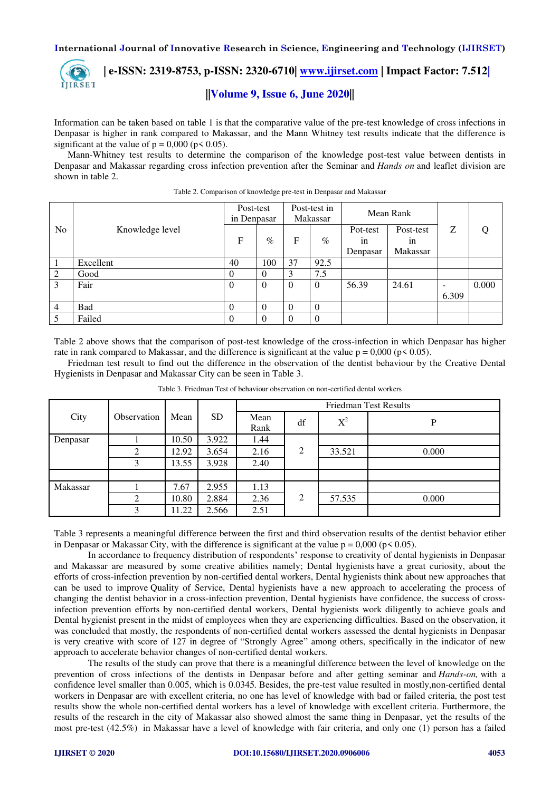

# **| e-ISSN: 2319-8753, p-ISSN: 2320-6710| [www.ijirset.com](http://www.ijirset.com/) | Impact Factor: 7.512| ||Volume 9, Issue 6, June 2020||**

Information can be taken based on table 1 is that the comparative value of the pre-test knowledge of cross infections in Denpasar is higher in rank compared to Makassar, and the Mann Whitney test results indicate that the difference is significant at the value of  $p = 0,000$  ( $p \le 0.05$ ).

Mann-Whitney test results to determine the comparison of the knowledge post-test value between dentists in Denpasar and Makassar regarding cross infection prevention after the Seminar and *Hands on* and leaflet division are shown in table 2.

|                |                 | Post-test<br>in Denpasar |          | Post-test in<br>Makassar |          | Mean Rank      |                 |                          |       |
|----------------|-----------------|--------------------------|----------|--------------------------|----------|----------------|-----------------|--------------------------|-------|
| N <sub>0</sub> | Knowledge level | $\mathbf{F}$             | $\%$     | F                        | $\%$     | Pot-test<br>1n | Post-test<br>1n | Ζ                        | Q     |
|                |                 |                          |          |                          |          | Denpasar       | Makassar        |                          |       |
|                | Excellent       | 40                       | 100      | 37                       | 92.5     |                |                 |                          |       |
| 2              | Good            | $\theta$                 | $\Omega$ | 3                        | 7.5      |                |                 |                          |       |
| 3              | Fair            | $\Omega$                 | $\Omega$ | $\theta$                 | $\theta$ | 56.39          | 24.61           | $\overline{\phantom{0}}$ | 0.000 |
|                |                 |                          |          |                          |          |                |                 | 6.309                    |       |
| $\overline{4}$ | Bad             | 0                        | $\Omega$ | $\Omega$                 | $\Omega$ |                |                 |                          |       |
|                | Failed          | $\theta$                 |          | $\Omega$                 | $\Omega$ |                |                 |                          |       |

Table 2. Comparison of knowledge pre-test in Denpasar and Makassar

Table 2 above shows that the comparison of post-test knowledge of the cross-infection in which Denpasar has higher rate in rank compared to Makassar, and the difference is significant at the value  $p = 0,000$  (p $\le 0.05$ ).

Friedman test result to find out the difference in the observation of the dentist behaviour by the Creative Dental Hygienists in Denpasar and Makassar City can be seen in Table 3.

|          |             |       |           | <b>Friedman Test Results</b> |    |        |       |  |  |  |
|----------|-------------|-------|-----------|------------------------------|----|--------|-------|--|--|--|
| City     | Observation | Mean  | <b>SD</b> | Mean                         | df | $X^2$  | P     |  |  |  |
|          |             |       |           | Rank                         |    |        |       |  |  |  |
| Denpasar |             | 10.50 | 3.922     | 1.44                         |    |        |       |  |  |  |
|          | ◠           | 12.92 | 3.654     | 2.16                         | 2  | 33.521 | 0.000 |  |  |  |
|          | 3           | 13.55 | 3.928     | 2.40                         |    |        |       |  |  |  |
|          |             |       |           |                              |    |        |       |  |  |  |
| Makassar |             | 7.67  | 2.955     | 1.13                         |    |        |       |  |  |  |
|          | 2           | 10.80 | 2.884     | 2.36                         | 2  | 57.535 | 0.000 |  |  |  |
|          | 3           | 11.22 | 2.566     | 2.51                         |    |        |       |  |  |  |

Table 3. Friedman Test of behaviour observation on non-certified dental workers

Table 3 represents a meaningful difference between the first and third observation results of the dentist behavior etiher in Denpasar or Makassar City, with the difference is significant at the value  $p = 0,000$  ( $p < 0.05$ ).

In accordance to frequency distribution of respondents' response to creativity of dental hygienists in Denpasar and Makassar are measured by some creative abilities namely; Dental hygienists have a great curiosity, about the efforts of cross-infection prevention by non-certified dental workers, Dental hygienists think about new approaches that can be used to improve Quality of Service, Dental hygienists have a new approach to accelerating the process of changing the dentist behavior in a cross-infection prevention, Dental hygienists have confidence, the success of crossinfection prevention efforts by non-certified dental workers, Dental hygienists work diligently to achieve goals and Dental hygienist present in the midst of employees when they are experiencing difficulties. Based on the observation, it was concluded that mostly, the respondents of non-certified dental workers assessed the dental hygienists in Denpasar is very creative with score of 127 in degree of "Strongly Agree" among others, specifically in the indicator of new approach to accelerate behavior changes of non-certified dental workers.

The results of the study can prove that there is a meaningful difference between the level of knowledge on the prevention of cross infections of the dentists in Denpasar before and after getting seminar and *Hands-on,* with a confidence level smaller than 0.005, which is 0.0345*.* Besides, the pre-test value resulted in mostly,non-certified dental workers in Denpasar are with excellent criteria, no one has level of knowledge with bad or failed criteria, the post test results show the whole non-certified dental workers has a level of knowledge with excellent criteria. Furthermore, the results of the research in the city of Makassar also showed almost the same thing in Denpasar, yet the results of the most pre-test (42.5%) in Makassar have a level of knowledge with fair criteria, and only one (1) person has a failed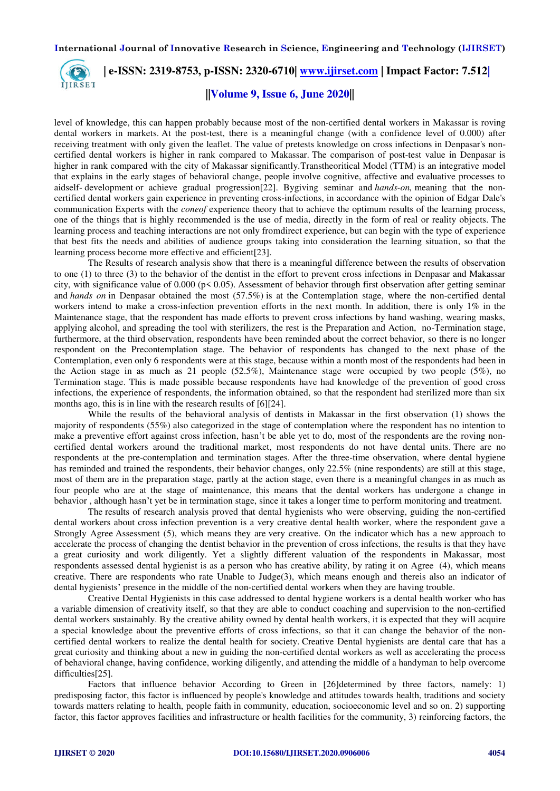

 **| e-ISSN: 2319-8753, p-ISSN: 2320-6710| [www.ijirset.com](http://www.ijirset.com/) | Impact Factor: 7.512|**

## **||Volume 9, Issue 6, June 2020||**

level of knowledge, this can happen probably because most of the non-certified dental workers in Makassar is roving dental workers in markets. At the post-test, there is a meaningful change (with a confidence level of 0.000) after receiving treatment with only given the leaflet. The value of pretests knowledge on cross infections in Denpasar's noncertified dental workers is higher in rank compared to Makassar. The comparison of post-test value in Denpasar is higher in rank compared with the city of Makassar significantly.Transtheoritical Model (TTM) is an integrative model that explains in the early stages of behavioral change, people involve cognitive, affective and evaluative processes to aidself- development or achieve gradual progression[22]. Bygiving seminar and *hands-on,* meaning that the noncertified dental workers gain experience in preventing cross-infections, in accordance with the opinion of Edgar Dale's communication Experts with the *coneof* experience theory that to achieve the optimum results of the learning process, one of the things that is highly recommended is the use of media, directly in the form of real or reality objects. The learning process and teaching interactions are not only fromdirect experience, but can begin with the type of experience that best fits the needs and abilities of audience groups taking into consideration the learning situation, so that the learning process become more effective and efficient[23].

The Results of research analysis show that there is a meaningful difference between the results of observation to one (1) to three (3) to the behavior of the dentist in the effort to prevent cross infections in Denpasar and Makassar city, with significance value of  $0.000$  ( $p \le 0.05$ ). Assessment of behavior through first observation after getting seminar and *hands on* in Denpasar obtained the most (57.5%) is at the Contemplation stage, where the non-certified dental workers intend to make a cross-infection prevention efforts in the next month. In addition, there is only 1% in the Maintenance stage, that the respondent has made efforts to prevent cross infections by hand washing, wearing masks, applying alcohol, and spreading the tool with sterilizers, the rest is the Preparation and Action, no-Termination stage, furthermore, at the third observation, respondents have been reminded about the correct behavior, so there is no longer respondent on the Precontemplation stage. The behavior of respondents has changed to the next phase of the Contemplation, even only 6 respondents were at this stage, because within a month most of the respondents had been in the Action stage in as much as 21 people (52.5%), Maintenance stage were occupied by two people (5%), no Termination stage. This is made possible because respondents have had knowledge of the prevention of good cross infections, the experience of respondents, the information obtained, so that the respondent had sterilized more than six months ago, this is in line with the research results of [6][24].

While the results of the behavioral analysis of dentists in Makassar in the first observation (1) shows the majority of respondents (55%) also categorized in the stage of contemplation where the respondent has no intention to make a preventive effort against cross infection, hasn't be able yet to do, most of the respondents are the roving noncertified dental workers around the traditional market, most respondents do not have dental units. There are no respondents at the pre-contemplation and termination stages. After the three-time observation, where dental hygiene has reminded and trained the respondents, their behavior changes, only 22.5% (nine respondents) are still at this stage, most of them are in the preparation stage, partly at the action stage, even there is a meaningful changes in as much as four people who are at the stage of maintenance, this means that the dental workers has undergone a change in behavior , although hasn't yet be in termination stage, since it takes a longer time to perform monitoring and treatment.

The results of research analysis proved that dental hygienists who were observing, guiding the non-certified dental workers about cross infection prevention is a very creative dental health worker, where the respondent gave a Strongly Agree Assessment (5), which means they are very creative. On the indicator which has a new approach to accelerate the process of changing the dentist behavior in the prevention of cross infections, the results is that they have a great curiosity and work diligently. Yet a slightly different valuation of the respondents in Makassar, most respondents assessed dental hygienist is as a person who has creative ability, by rating it on Agree (4), which means creative. There are respondents who rate Unable to Judge(3), which means enough and thereis also an indicator of dental hygienists' presence in the middle of the non-certified dental workers when they are having trouble.

Creative Dental Hygienists in this case addressed to dental hygiene workers is a dental health worker who has a variable dimension of creativity itself, so that they are able to conduct coaching and supervision to the non-certified dental workers sustainably. By the creative ability owned by dental health workers, it is expected that they will acquire a special knowledge about the preventive efforts of cross infections, so that it can change the behavior of the noncertified dental workers to realize the dental health for society. Creative Dental hygienists are dental care that has a great curiosity and thinking about a new in guiding the non-certified dental workers as well as accelerating the process of behavioral change, having confidence, working diligently, and attending the middle of a handyman to help overcome difficulties[25].

Factors that influence behavior According to Green in [26]determined by three factors, namely: 1) predisposing factor, this factor is influenced by people's knowledge and attitudes towards health, traditions and society towards matters relating to health, people faith in community, education, socioeconomic level and so on. 2) supporting factor, this factor approves facilities and infrastructure or health facilities for the community, 3) reinforcing factors, the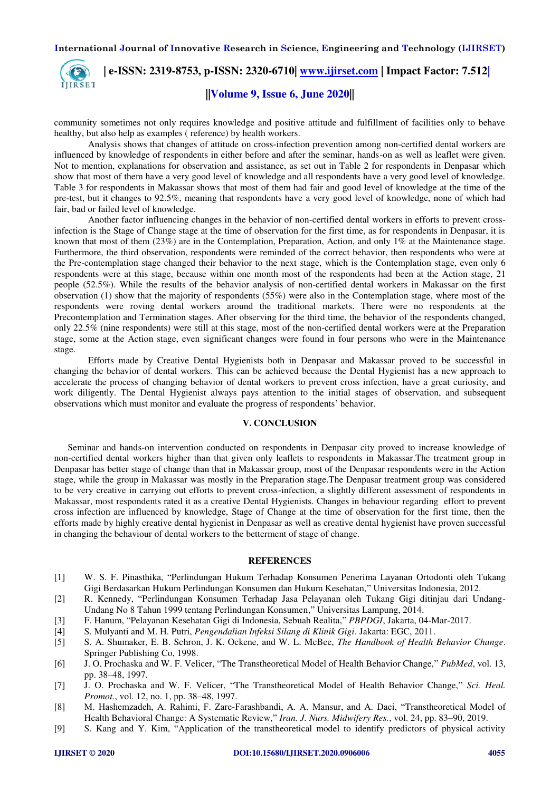

community sometimes not only requires knowledge and positive attitude and fulfillment of facilities only to behave healthy, but also help as examples ( reference) by health workers.

Analysis shows that changes of attitude on cross-infection prevention among non-certified dental workers are influenced by knowledge of respondents in either before and after the seminar, hands-on as well as leaflet were given. Not to mention, explanations for observation and assistance, as set out in Table 2 for respondents in Denpasar which show that most of them have a very good level of knowledge and all respondents have a very good level of knowledge. Table 3 for respondents in Makassar shows that most of them had fair and good level of knowledge at the time of the pre-test, but it changes to 92.5%, meaning that respondents have a very good level of knowledge, none of which had fair, bad or failed level of knowledge.

Another factor influencing changes in the behavior of non-certified dental workers in efforts to prevent crossinfection is the Stage of Change stage at the time of observation for the first time, as for respondents in Denpasar, it is known that most of them (23%) are in the Contemplation, Preparation, Action, and only 1% at the Maintenance stage. Furthermore, the third observation, respondents were reminded of the correct behavior, then respondents who were at the Pre-contemplation stage changed their behavior to the next stage, which is the Contemplation stage, even only 6 respondents were at this stage, because within one month most of the respondents had been at the Action stage, 21 people (52.5%). While the results of the behavior analysis of non-certified dental workers in Makassar on the first observation (1) show that the majority of respondents (55%) were also in the Contemplation stage, where most of the respondents were roving dental workers around the traditional markets. There were no respondents at the Precontemplation and Termination stages. After observing for the third time, the behavior of the respondents changed, only 22.5% (nine respondents) were still at this stage, most of the non-certified dental workers were at the Preparation stage, some at the Action stage, even significant changes were found in four persons who were in the Maintenance stage.

Efforts made by Creative Dental Hygienists both in Denpasar and Makassar proved to be successful in changing the behavior of dental workers. This can be achieved because the Dental Hygienist has a new approach to accelerate the process of changing behavior of dental workers to prevent cross infection, have a great curiosity, and work diligently. The Dental Hygienist always pays attention to the initial stages of observation, and subsequent observations which must monitor and evaluate the progress of respondents' behavior.

### **V. CONCLUSION**

Seminar and hands-on intervention conducted on respondents in Denpasar city proved to increase knowledge of non-certified dental workers higher than that given only leaflets to respondents in Makassar.The treatment group in Denpasar has better stage of change than that in Makassar group, most of the Denpasar respondents were in the Action stage, while the group in Makassar was mostly in the Preparation stage.The Denpasar treatment group was considered to be very creative in carrying out efforts to prevent cross-infection, a slightly different assessment of respondents in Makassar, most respondents rated it as a creative Dental Hygienists. Changes in behaviour regarding effort to prevent cross infection are influenced by knowledge, Stage of Change at the time of observation for the first time, then the efforts made by highly creative dental hygienist in Denpasar as well as creative dental hygienist have proven successful in changing the behaviour of dental workers to the betterment of stage of change.

### **REFERENCES**

- [1] W. S. F. Pinasthika, "Perlindungan Hukum Terhadap Konsumen Penerima Layanan Ortodonti oleh Tukang Gigi Berdasarkan Hukum Perlindungan Konsumen dan Hukum Kesehatan," Universitas Indonesia, 2012.
- [2] R. Kennedy, "Perlindungan Konsumen Terhadap Jasa Pelayanan oleh Tukang Gigi ditinjau dari Undang-Undang No 8 Tahun 1999 tentang Perlindungan Konsumen," Universitas Lampung, 2014.
- [3] F. Hanum, "Pelayanan Kesehatan Gigi di Indonesia, Sebuah Realita," *PBPDGI*, Jakarta, 04-Mar-2017.
- [4] S. Mulyanti and M. H. Putri, *Pengendalian Infeksi Silang di Klinik Gigi*. Jakarta: EGC, 2011.
- [5] S. A. Shumaker, E. B. Schron, J. K. Ockene, and W. L. McBee, *The Handbook of Health Behavior Change*. Springer Publishing Co, 1998.
- [6] J. O. Prochaska and W. F. Velicer, "The Transtheoretical Model of Health Behavior Change," *PubMed*, vol. 13, pp. 38–48, 1997.
- [7] J. O. Prochaska and W. F. Velicer, "The Transtheoretical Model of Health Behavior Change," *Sci. Heal. Promot.*, vol. 12, no. 1, pp. 38–48, 1997.
- [8] M. Hashemzadeh, A. Rahimi, F. Zare-Farashbandi, A. A. Mansur, and A. Daei, "Transtheoretical Model of Health Behavioral Change: A Systematic Review," *Iran. J. Nurs. Midwifery Res.*, vol. 24, pp. 83–90, 2019.
- [9] S. Kang and Y. Kim, "Application of the transtheoretical model to identify predictors of physical activity